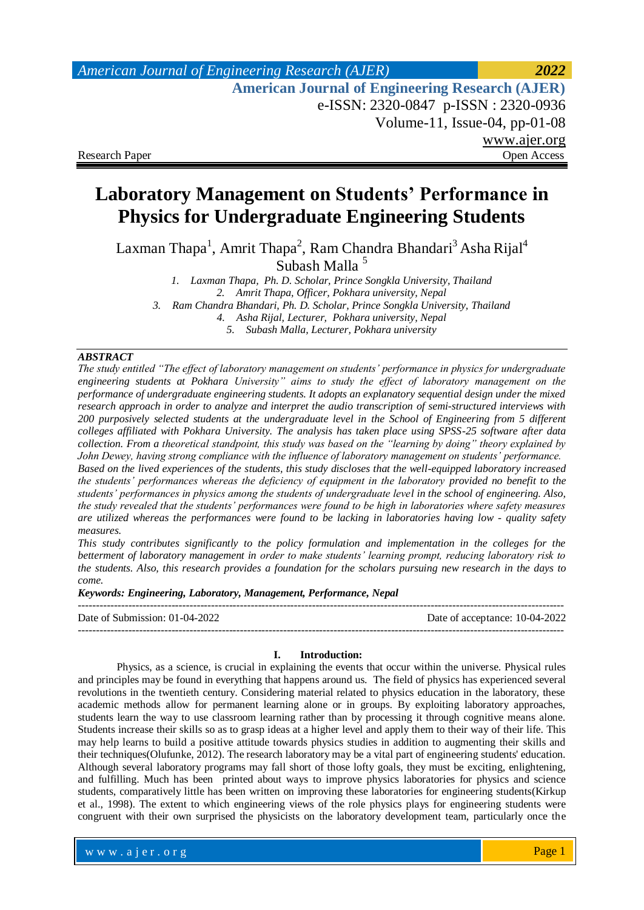# **Laboratory Management on Students' Performance in Physics for Undergraduate Engineering Students**

Laxman Thapa $^1$ , Amrit Thapa $^2$ , Ram Chandra Bhandari $^3$  Asha Rijal $^4$ Subash Malla <sup>5</sup>

*1. Laxman Thapa, Ph. D. Scholar, Prince Songkla University, Thailand 2. Amrit Thapa, Officer, Pokhara university, Nepal 3. Ram Chandra Bhandari, Ph. D. Scholar, Prince Songkla University, Thailand 4. Asha Rijal, Lecturer, Pokhara university, Nepal 5. Subash Malla, Lecturer, Pokhara university*

#### *ABSTRACT*

*The study entitled "The effect of laboratory management on students' performance in physics for undergraduate engineering students at Pokhara University" aims to study the effect of laboratory management on the performance of undergraduate engineering students. It adopts an explanatory sequential design under the mixed research approach in order to analyze and interpret the audio transcription of semi-structured interviews with 200 purposively selected students at the undergraduate level in the School of Engineering from 5 different colleges affiliated with Pokhara University. The analysis has taken place using SPSS-25 software after data collection. From a theoretical standpoint, this study was based on the "learning by doing" theory explained by John Dewey, having strong compliance with the influence of laboratory management on students' performance. Based on the lived experiences of the students, this study discloses that the well-equipped laboratory increased the students' performances whereas the deficiency of equipment in the laboratory provided no benefit to the students' performances in physics among the students of undergraduate level in the school of engineering. Also, the study revealed that the students' performances were found to be high in laboratories where safety measures are utilized whereas the performances were found to be lacking in laboratories having low - quality safety measures.* 

*This study contributes significantly to the policy formulation and implementation in the colleges for the betterment of laboratory management in order to make students' learning prompt, reducing laboratory risk to the students. Also, this research provides a foundation for the scholars pursuing new research in the days to come.* 

*Keywords: Engineering, Laboratory, Management, Performance, Nepal*

Date of Submission: 01-04-2022 Date of acceptance: 10-04-2022

---------------------------------------------------------------------------------------------------------------------------------------

#### **I. Introduction:**

---------------------------------------------------------------------------------------------------------------------------------------

Physics, as a science, is crucial in explaining the events that occur within the universe. Physical rules and principles may be found in everything that happens around us. The field of physics has experienced several revolutions in the twentieth century. Considering material related to physics education in the laboratory, these academic methods allow for permanent learning alone or in groups. By exploiting laboratory approaches, students learn the way to use classroom learning rather than by processing it through cognitive means alone. Students increase their skills so as to grasp ideas at a higher level and apply them to their way of their life. This may help learns to build a positive attitude towards physics studies in addition to augmenting their skills and their techniques(Olufunke, 2012). The research laboratory may be a vital part of engineering students' education. Although several laboratory programs may fall short of those lofty goals, they must be exciting, enlightening, and fulfilling. Much has been printed about ways to improve physics laboratories for physics and science students, comparatively little has been written on improving these laboratories for engineering students(Kirkup et al., 1998). The extent to which engineering views of the role physics plays for engineering students were congruent with their own surprised the physicists on the laboratory development team, particularly once the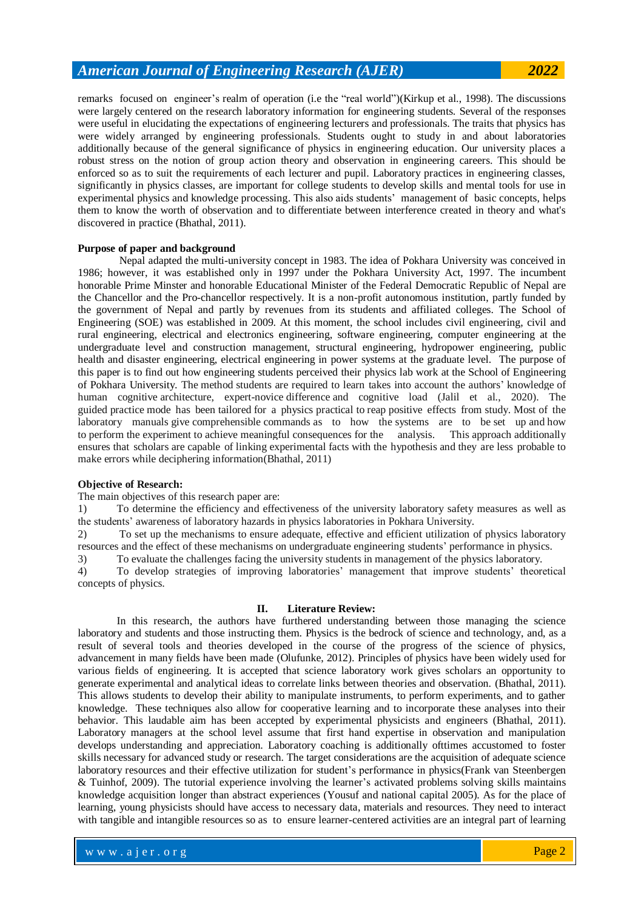remarks focused on engineer's realm of operation (i.e the "real world")(Kirkup et al., 1998). The discussions were largely centered on the research laboratory information for engineering students. Several of the responses were useful in elucidating the expectations of engineering lecturers and professionals. The traits that physics has were widely arranged by engineering professionals. Students ought to study in and about laboratories additionally because of the general significance of physics in engineering education. Our university places a robust stress on the notion of group action theory and observation in engineering careers. This should be enforced so as to suit the requirements of each lecturer and pupil. Laboratory practices in engineering classes, significantly in physics classes, are important for college students to develop skills and mental tools for use in experimental physics and knowledge processing. This also aids students' management of basic concepts, helps them to know the worth of observation and to differentiate between interference created in theory and what's discovered in practice (Bhathal, 2011).

#### **Purpose of paper and background**

Nepal adapted the multi-university concept in 1983. The idea of Pokhara University was conceived in 1986; however, it was established only in 1997 under the Pokhara University Act, 1997. The incumbent honorable Prime Minster and honorable Educational Minister of the Federal Democratic Republic of Nepal are the Chancellor and the Pro-chancellor respectively. It is a non-profit autonomous institution, partly funded by the government of Nepal and partly by revenues from its students and affiliated colleges. The School of Engineering (SOE) was established in 2009. At this moment, the school includes civil engineering, civil and rural engineering, electrical and electronics engineering, software engineering, computer engineering at the undergraduate level and construction management, structural engineering, hydropower engineering, public health and disaster engineering, electrical engineering in power systems at the graduate level. The purpose of this paper is to find out how engineering students perceived their physics lab work at the School of Engineering of Pokhara University. The method students are required to learn takes into account the authors' knowledge of human cognitive architecture, expert-novice difference and cognitive load (Jalil et al., 2020). The guided practice mode has been tailored for a physics practical to reap positive effects from study. Most of the laboratory manuals give comprehensible commands as to how the systems are to be set up and how to perform the experiment to achieve meaningful consequences for the analysis. This approach additionally ensures that scholars are capable of linking experimental facts with the hypothesis and they are less probable to make errors while deciphering information(Bhathal, 2011)

#### **Objective of Research:**

The main objectives of this research paper are:

1) To determine the efficiency and effectiveness of the university laboratory safety measures as well as the students' awareness of laboratory hazards in physics laboratories in Pokhara University.

2) To set up the mechanisms to ensure adequate, effective and efficient utilization of physics laboratory resources and the effect of these mechanisms on undergraduate engineering students' performance in physics.

3) To evaluate the challenges facing the university students in management of the physics laboratory.

4) To develop strategies of improving laboratories' management that improve students' theoretical concepts of physics.

#### **II. Literature Review:**

In this research, the authors have furthered understanding between those managing the science laboratory and students and those instructing them. Physics is the bedrock of science and technology, and, as a result of several tools and theories developed in the course of the progress of the science of physics, advancement in many fields have been made (Olufunke, 2012). Principles of physics have been widely used for various fields of engineering. It is accepted that science laboratory work gives scholars an opportunity to generate experimental and analytical ideas to correlate links between theories and observation. (Bhathal, 2011). This allows students to develop their ability to manipulate instruments, to perform experiments, and to gather knowledge. These techniques also allow for cooperative learning and to incorporate these analyses into their behavior. This laudable aim has been accepted by experimental physicists and engineers (Bhathal, 2011). Laboratory managers at the school level assume that first hand expertise in observation and manipulation develops understanding and appreciation. Laboratory coaching is additionally ofttimes accustomed to foster skills necessary for advanced study or research. The target considerations are the acquisition of adequate science laboratory resources and their effective utilization for student's performance in physics(Frank van Steenbergen & Tuinhof, 2009). The tutorial experience involving the learner's activated problems solving skills maintains knowledge acquisition longer than abstract experiences (Yousuf and national capital 2005). As for the place of learning, young physicists should have access to necessary data, materials and resources. They need to interact with tangible and intangible resources so as to ensure learner-centered activities are an integral part of learning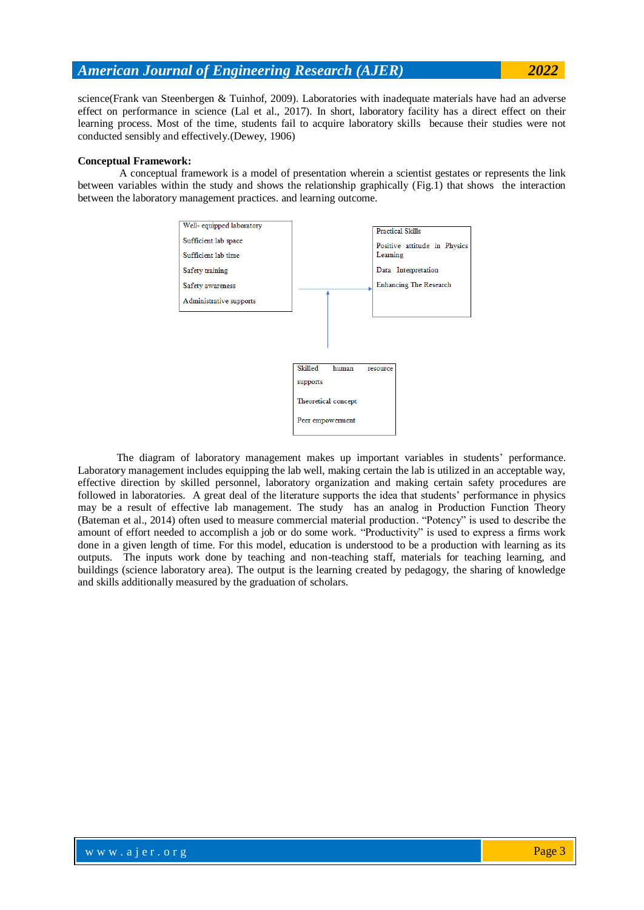science(Frank van Steenbergen & Tuinhof, 2009). Laboratories with inadequate materials have had an adverse effect on performance in science (Lal et al., 2017). In short, laboratory facility has a direct effect on their learning process. Most of the time, students fail to acquire laboratory skills because their studies were not conducted sensibly and effectively.(Dewey, 1906)

### **Conceptual Framework:**

A conceptual framework is a model of presentation wherein a scientist gestates or represents the link between variables within the study and shows the relationship graphically (Fig.1) that shows the interaction between the laboratory management practices. and learning outcome.



The diagram of laboratory management makes up important variables in students' performance. Laboratory management includes equipping the lab well, making certain the lab is utilized in an acceptable way, effective direction by skilled personnel, laboratory organization and making certain safety procedures are followed in laboratories. A great deal of the literature supports the idea that students' performance in physics may be a result of effective lab management. The study has an analog in Production Function Theory (Bateman et al., 2014) often used to measure commercial material production. "Potency" is used to describe the amount of effort needed to accomplish a job or do some work. "Productivity" is used to express a firms work done in a given length of time. For this model, education is understood to be a production with learning as its outputs. The inputs work done by teaching and non-teaching staff, materials for teaching learning, and buildings (science laboratory area). The output is the learning created by pedagogy, the sharing of knowledge and skills additionally measured by the graduation of scholars.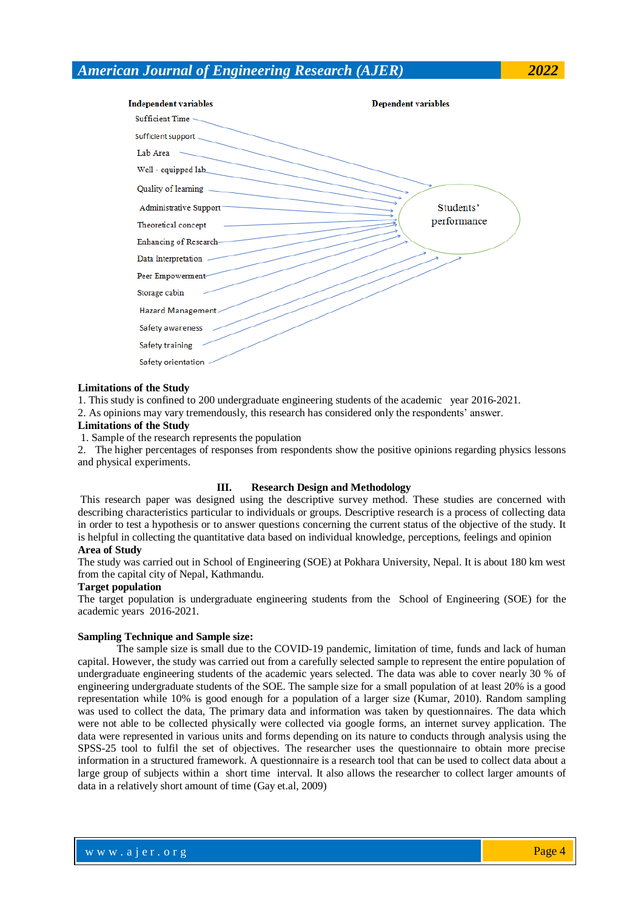

#### **Limitations of the Study**

1. This study is confined to 200 undergraduate engineering students of the academic year 2016-2021.

2. As opinions may vary tremendously, this research has considered only the respondents' answer.

#### **Limitations of the Study**

1. Sample of the research represents the population

2. The higher percentages of responses from respondents show the positive opinions regarding physics lessons and physical experiments.

#### **III. Research Design and Methodology**

This research paper was designed using the descriptive survey method. These studies are concerned with describing characteristics particular to individuals or groups. Descriptive research is a process of collecting data in order to test a hypothesis or to answer questions concerning the current status of the objective of the study. It is helpful in collecting the quantitative data based on individual knowledge, perceptions, feelings and opinion **Area of Study** 

The study was carried out in School of Engineering (SOE) at Pokhara University, Nepal. It is about 180 km west from the capital city of Nepal, Kathmandu.

#### **Target population**

The target population is undergraduate engineering students from the School of Engineering (SOE) for the academic years 2016-2021.

#### **Sampling Technique and Sample size:**

The sample size is small due to the COVID-19 pandemic, limitation of time, funds and lack of human capital. However, the study was carried out from a carefully selected sample to represent the entire population of undergraduate engineering students of the academic years selected. The data was able to cover nearly 30 % of engineering undergraduate students of the SOE. The sample size for a small population of at least 20% is a good representation while 10% is good enough for a population of a larger size (Kumar, 2010). Random sampling was used to collect the data, The primary data and information was taken by questionnaires. The data which were not able to be collected physically were collected via google forms, an internet survey application. The data were represented in various units and forms depending on its nature to conducts through analysis using the SPSS-25 tool to fulfil the set of objectives. The researcher uses the questionnaire to obtain more precise information in a structured framework. A questionnaire is a research tool that can be used to collect data about a large group of subjects within a short time interval. It also allows the researcher to collect larger amounts of data in a relatively short amount of time (Gay et.al, 2009)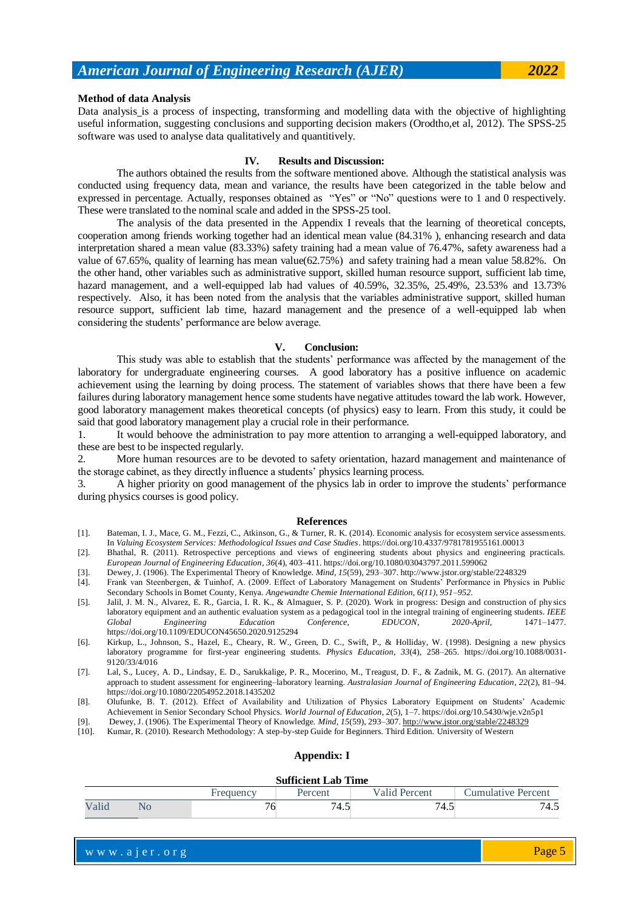Data analysis is a process of inspecting, transforming and modelling data with the objective of highlighting useful information, suggesting conclusions and supporting decision makers (Orodtho,et al, 2012). The SPSS-25 software was used to analyse data qualitatively and quantitively.

#### **IV. Results and Discussion:**

The authors obtained the results from the software mentioned above. Although the statistical analysis was conducted using frequency data, mean and variance, the results have been categorized in the table below and expressed in percentage. Actually, responses obtained as "Yes" or "No" questions were to 1 and 0 respectively. These were translated to the nominal scale and added in the SPSS-25 tool.

The analysis of the data presented in the Appendix I reveals that the learning of theoretical concepts, cooperation among friends working together had an identical mean value (84.31% ), enhancing research and data interpretation shared a mean value (83.33%) safety training had a mean value of 76.47%, safety awareness had a value of 67.65%, quality of learning has mean value(62.75%) and safety training had a mean value 58.82%. On the other hand, other variables such as administrative support, skilled human resource support, sufficient lab time, hazard management, and a well-equipped lab had values of 40.59%, 32.35%, 25.49%, 23.53% and 13.73% respectively. Also, it has been noted from the analysis that the variables administrative support, skilled human resource support, sufficient lab time, hazard management and the presence of a well-equipped lab when considering the students' performance are below average.

#### **V. Conclusion:**

This study was able to establish that the students' performance was affected by the management of the laboratory for undergraduate engineering courses. A good laboratory has a positive influence on academic achievement using the learning by doing process. The statement of variables shows that there have been a few failures during laboratory management hence some students have negative attitudes toward the lab work. However, good laboratory management makes theoretical concepts (of physics) easy to learn. From this study, it could be said that good laboratory management play a crucial role in their performance.

1. It would behoove the administration to pay more attention to arranging a well-equipped laboratory, and these are best to be inspected regularly.

2. More human resources are to be devoted to safety orientation, hazard management and maintenance of the storage cabinet, as they directly influence a students' physics learning process.

3. A higher priority on good management of the physics lab in order to improve the students' performance during physics courses is good policy.

#### **References**

- [1]. Bateman, I. J., Mace, G. M., Fezzi, C., Atkinson, G., & Turner, R. K. (2014). Economic analysis for ecosystem service assessments. In *Valuing Ecosystem Services: Methodological Issues and Case Studies*. https://doi.org/10.4337/9781781955161.00013
- [2]. Bhathal, R. (2011). Retrospective perceptions and views of engineering students about physics and engineering practicals. *European Journal of Engineering Education*, *36*(4), 403–411. https://doi.org/10.1080/03043797.2011.599062
- [3]. Dewey, J. (1906). The Experimental Theory of Knowledge. *Mind*, *15*(59), 293–307. http://www.jstor.org/stable/2248329
- [4]. Frank van Steenbergen, & Tuinhof, A. (2009. Effect of Laboratory Management on Students' Performance in Physics in Public Secondary Schools in Bomet County, Kenya. *Angewandte Chemie International Edition, 6(11), 951–952.*
- [5]. Jalil, J. M. N., Alvarez, E. R., Garcia, I. R. K., & Almaguer, S. P. (2020). Work in progress: Design and construction of physics laboratory equipment and an authentic evaluation system as a pedagogical tool in the integral training of engineering students. *IEEE Global Engineering Education Conference, EDUCON*, *2020*-*April*, 1471–1477. https://doi.org/10.1109/EDUCON45650.2020.9125294
- [6]. Kirkup, L., Johnson, S., Hazel, E., Cheary, R. W., Green, D. C., Swift, P., & Holliday, W. (1998). Designing a new physics laboratory programme for first-year engineering students. *Physics Education*, *33*(4), 258–265. https://doi.org/10.1088/0031- 9120/33/4/016
- [7]. Lal, S., Lucey, A. D., Lindsay, E. D., Sarukkalige, P. R., Mocerino, M., Treagust, D. F., & Zadnik, M. G. (2017). An alternative approach to student assessment for engineering–laboratory learning. *Australasian Journal of Engineering Education*, *22*(2), 81–94. https://doi.org/10.1080/22054952.2018.1435202
- [8]. Olufunke, B. T. (2012). Effect of Availability and Utilization of Physics Laboratory Equipment on Students' Academic Achievement in Senior Secondary School Physics. *World Journal of Education*, *2*(5), 1–7. https://doi.org/10.5430/wje.v2n5p1
- [9]. Dewey, J. (1906). The Experimental Theory of Knowledge. *Mind*, 15(59), 293–307[. http://www.jstor.org/stable/2248329](http://www.jstor.org/stable/2248329) [10]. Kumar, R. (2010). Research Methodology: A step-by-step Guide for Beginners. Third Edition. Uni
- [10]. Kumar, R. (2010). Research Methodology: A step-by-step Guide for Beginners. Third Edition. University of Western

#### **Appendix: I**

#### **Sufficient Lab Time**

|       | ----------------------------- |           |         |                  |                    |  |  |  |
|-------|-------------------------------|-----------|---------|------------------|--------------------|--|--|--|
|       |                               | Frequency | Percent | Percent<br>Valid | Jumulative Percent |  |  |  |
| Valio | ΝO                            | v         | 74.5    | 4.J              | 74.5               |  |  |  |

w w w . a j e r . o r g where  $\mathcal{L} = \mathcal{L} \left( \mathcal{L} \right)$  is the set of  $\mathcal{L} \left( \mathcal{L} \right)$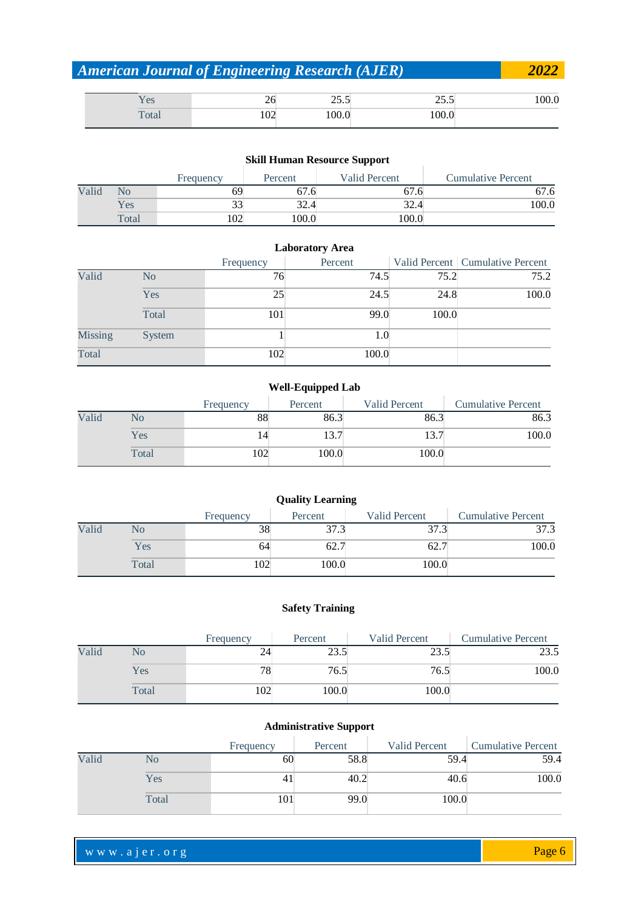| <b>American Journal of Engineering Research (AJER)</b> |     |       |       |       |  |  |  |
|--------------------------------------------------------|-----|-------|-------|-------|--|--|--|
| Yes                                                    | 26. | 25.5  | 25.5  | l00.0 |  |  |  |
| Total                                                  | 102 | 100.0 | 100.0 |       |  |  |  |

### **Skill Human Resource Support**

|       | SKIII HUMAN RESOURCE SUPPORT |           |         |               |                           |  |  |  |  |  |
|-------|------------------------------|-----------|---------|---------------|---------------------------|--|--|--|--|--|
|       |                              | Frequency | Percent | Valid Percent | <b>Cumulative Percent</b> |  |  |  |  |  |
| Valid | NO                           | 69        | 6/0.6   | 67.6          | 67.6                      |  |  |  |  |  |
|       | Yes                          |           | 32.4    | 32.4          | 100.0                     |  |  |  |  |  |
|       | Total                        | .02       | 100.0   | 100.0         |                           |  |  |  |  |  |

|         | <b>Laboratory Area</b> |           |         |       |                                    |  |  |  |  |
|---------|------------------------|-----------|---------|-------|------------------------------------|--|--|--|--|
|         |                        | Frequency | Percent |       | Valid Percent   Cumulative Percent |  |  |  |  |
| Valid   | N <sub>0</sub>         | 76        | 74.5    | 75.2  | 75.2                               |  |  |  |  |
|         | Yes                    | 25        | 24.5    | 24.8  | 100.0                              |  |  |  |  |
|         | Total                  | 101       | 99.0    | 100.0 |                                    |  |  |  |  |
| Missing | System                 |           | 1.0     |       |                                    |  |  |  |  |
| Total   |                        | 102       | 100.0   |       |                                    |  |  |  |  |

### **Well-Equipped Lab**

|       |       | Frequency | Percent | Valid Percent | <b>Cumulative Percent</b> |
|-------|-------|-----------|---------|---------------|---------------------------|
| Valid | No    | 88        | 86.3    | 86.3          | 86.3                      |
|       | Yes   |           | 13.7    | 13.7          | 100.0                     |
|       | Total | 102       | 100.0   | 100.0         |                           |

|       |       |           | <b>Quality Learning</b> |               |                           |
|-------|-------|-----------|-------------------------|---------------|---------------------------|
|       |       | Frequency | Percent                 | Valid Percent | <b>Cumulative Percent</b> |
| Valid | No    | 38        | 37.3                    | 37.3          | 37.3                      |
|       | Yes   | 64        | 62.7                    | 62.7          | 100.0                     |
|       | Total | 102       | 100.0                   | 100.0         |                           |

### **Safety Training**

|       |       | Frequency | Percent | <b>Valid Percent</b> | <b>Cumulative Percent</b> |
|-------|-------|-----------|---------|----------------------|---------------------------|
| Valid | No    |           | 23.5    | 23.5                 | 23.5                      |
|       | Yes   | 78        | 76.5    | 76.5                 | 100.0                     |
|       | Total | 102       | 100.0   | 100.0                |                           |

### **Administrative Support**

|       |       | Frequency | Percent | Valid Percent | <b>Cumulative Percent</b> |
|-------|-------|-----------|---------|---------------|---------------------------|
| Valid | No    | 60        | 58.8    | 59.4          | 59.4                      |
|       | Yes   | 41        | 40.2    | 40.6          | 100.0                     |
|       | Total | 101       | 99.0    | 100.0         |                           |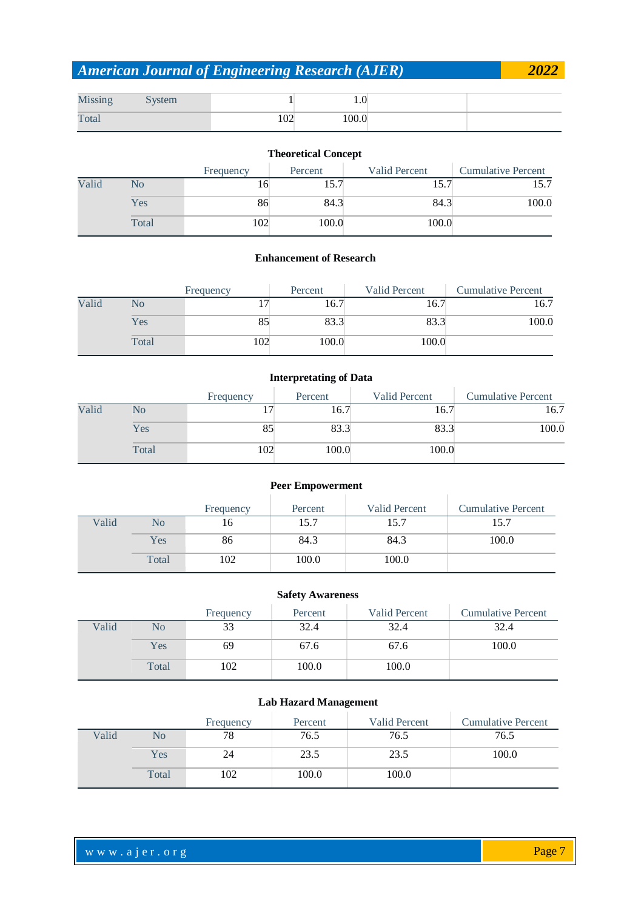| Missing | vstem |     | $\cdot$ |  |
|---------|-------|-----|---------|--|
| Total   |       | 102 | 100.0   |  |

### **Theoretical Concept**

|       |       | Frequency | Percent | <b>Valid Percent</b> | <b>Cumulative Percent</b> |
|-------|-------|-----------|---------|----------------------|---------------------------|
| Valid | No    | 16        | 15.7    | 1J.                  |                           |
|       | Yes   | 86        | 84.3    | 84.3                 | 100.0                     |
|       | Total | 102       | 100.0   | 100.0                |                           |

### **Enhancement of Research**

|       |       | Frequency | Percent | Valid Percent | <b>Cumulative Percent</b> |
|-------|-------|-----------|---------|---------------|---------------------------|
| Valid | No    |           | 16.7    | 16.7          | 16.7                      |
|       | Yes   | 85        | 83.3    | 83.3          | 100.0                     |
|       | Total | 102       | 100.0   | 100.0         |                           |

### **Interpretating of Data**

|       |       | Frequency | Percent | Valid Percent | <b>Cumulative Percent</b> |
|-------|-------|-----------|---------|---------------|---------------------------|
| Valid | No    |           | 16.7    | 16.7          | 16.7                      |
|       | Yes   | 85        | 83.3    | 83.3          | 100.0                     |
|       | Total | 102       | 100.0   | 100.0         |                           |

### **Peer Empowerment**

|       |       | Frequency | Percent | Valid Percent | <b>Cumulative Percent</b> |
|-------|-------|-----------|---------|---------------|---------------------------|
| Valid | No    | 16        | 15.7    | 15.7          | 15.7                      |
|       | Yes   | 86        | 84.3    | 84.3          | 100.0                     |
|       | Total | 102       | 100.0   | 100.0         |                           |

### **Safety Awareness**

|       |       | Frequency | Percent | Valid Percent | <b>Cumulative Percent</b> |
|-------|-------|-----------|---------|---------------|---------------------------|
| Valid | No    | 33        | 32.4    | 32.4          | 32.4                      |
|       | Yes   | 69        | 67.6    | 67.6          | 100.0                     |
|       | Total | 102       | 100.0   | 100.0         |                           |

### **Lab Hazard Management**

|       |       | Frequency | Percent | Valid Percent | <b>Cumulative Percent</b> |
|-------|-------|-----------|---------|---------------|---------------------------|
| Valid | No    | 78        | 76.5    | 76.5          | 76.5                      |
|       | Yes   | 24        | 23.5    | 23.5          | 100.0                     |
|       | Total | 102       | 100.0   | 100.0         |                           |